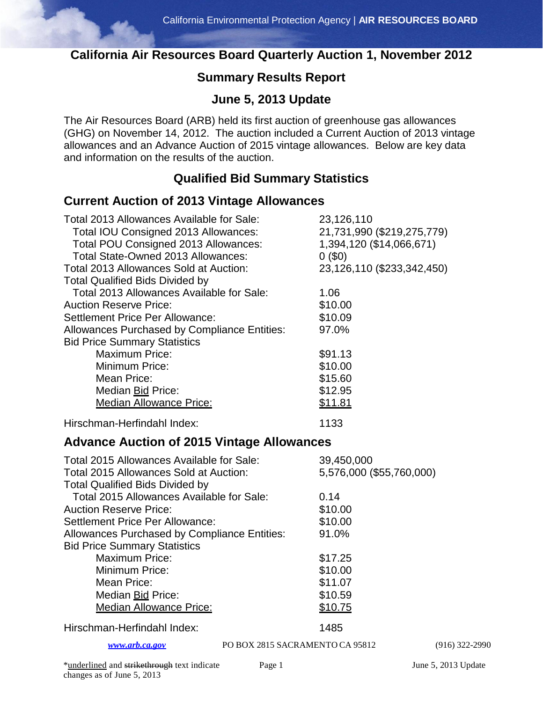## **California Air Resources Board Quarterly Auction 1, November 2012**

## **Summary Results Report**

### **June 5, 2013 Update**

The Air Resources Board (ARB) held its first auction of greenhouse gas allowances (GHG) on November 14, 2012. The auction included a Current Auction of 2013 vintage allowances and an Advance Auction of 2015 vintage allowances. Below are key data and information on the results of the auction.

### **Qualified Bid Summary Statistics**

#### **Current Auction of 2013 Vintage Allowances**

| Total 2013 Allowances Available for Sale:<br>Total IOU Consigned 2013 Allowances:<br>Total POU Consigned 2013 Allowances:<br>Total State-Owned 2013 Allowances:<br><b>Total 2013 Allowances Sold at Auction:</b><br><b>Total Qualified Bids Divided by</b><br>Total 2013 Allowances Available for Sale: | 23,126,110<br>21,731,990 (\$219,275,779)<br>1,394,120 (\$14,066,671)<br>0(50)<br>23,126,110 (\$233,342,450)<br>1.06 |  |
|---------------------------------------------------------------------------------------------------------------------------------------------------------------------------------------------------------------------------------------------------------------------------------------------------------|---------------------------------------------------------------------------------------------------------------------|--|
| <b>Auction Reserve Price:</b>                                                                                                                                                                                                                                                                           | \$10.00                                                                                                             |  |
| <b>Settlement Price Per Allowance:</b>                                                                                                                                                                                                                                                                  | \$10.09                                                                                                             |  |
| Allowances Purchased by Compliance Entities:<br><b>Bid Price Summary Statistics</b>                                                                                                                                                                                                                     | 97.0%                                                                                                               |  |
| <b>Maximum Price:</b>                                                                                                                                                                                                                                                                                   | \$91.13                                                                                                             |  |
| Minimum Price:                                                                                                                                                                                                                                                                                          | \$10.00                                                                                                             |  |
| Mean Price:                                                                                                                                                                                                                                                                                             | \$15.60                                                                                                             |  |
| Median Bid Price:                                                                                                                                                                                                                                                                                       | \$12.95                                                                                                             |  |
| <b>Median Allowance Price:</b>                                                                                                                                                                                                                                                                          | \$11.81                                                                                                             |  |
| Hirschman-Herfindahl Index:                                                                                                                                                                                                                                                                             | 1133                                                                                                                |  |
| <b>Advance Auction of 2015 Vintage Allowances</b>                                                                                                                                                                                                                                                       |                                                                                                                     |  |
| Total 2015 Allowances Available for Sale:<br><b>Total 2015 Allowances Sold at Auction:</b><br><b>Total Qualified Bids Divided by</b>                                                                                                                                                                    | 39,450,000<br>5,576,000 (\$55,760,000)                                                                              |  |
| Total 2015 Allowances Available for Sale:                                                                                                                                                                                                                                                               | 0.14                                                                                                                |  |
| <b>Auction Reserve Price:</b>                                                                                                                                                                                                                                                                           | \$10.00                                                                                                             |  |
| <b>Settlement Price Per Allowance:</b>                                                                                                                                                                                                                                                                  | \$10.00                                                                                                             |  |
| Allowances Purchased by Compliance Entities:<br><b>Bid Price Summary Statistics</b>                                                                                                                                                                                                                     | 91.0%                                                                                                               |  |
| <b>Maximum Price:</b>                                                                                                                                                                                                                                                                                   | \$17.25                                                                                                             |  |
| Minimum Price:                                                                                                                                                                                                                                                                                          | \$10.00                                                                                                             |  |
| Mean Price:                                                                                                                                                                                                                                                                                             | \$11.07                                                                                                             |  |
| Median Bid Price:                                                                                                                                                                                                                                                                                       | \$10.59                                                                                                             |  |
| <b>Median Allowance Price:</b>                                                                                                                                                                                                                                                                          | \$10.75                                                                                                             |  |
| Hirschman-Herfindahl Index:                                                                                                                                                                                                                                                                             | 1485                                                                                                                |  |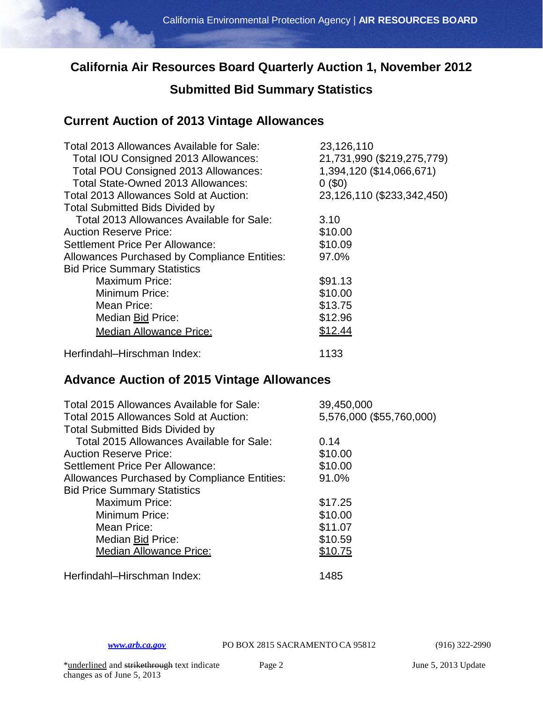## **California Air Resources Board Quarterly Auction 1, November 2012**

# **Submitted Bid Summary Statistics**

### **Current Auction of 2013 Vintage Allowances**

| Total 2013 Allowances Available for Sale:           | 23,126,110                 |
|-----------------------------------------------------|----------------------------|
| Total IOU Consigned 2013 Allowances:                | 21,731,990 (\$219,275,779) |
| Total POU Consigned 2013 Allowances:                | 1,394,120 (\$14,066,671)   |
| Total State-Owned 2013 Allowances:                  | 0(50)                      |
| Total 2013 Allowances Sold at Auction:              | 23,126,110 (\$233,342,450) |
| <b>Total Submitted Bids Divided by</b>              |                            |
| Total 2013 Allowances Available for Sale:           | 3.10                       |
| <b>Auction Reserve Price:</b>                       | \$10.00                    |
| Settlement Price Per Allowance:                     | \$10.09                    |
| <b>Allowances Purchased by Compliance Entities:</b> | 97.0%                      |
| <b>Bid Price Summary Statistics</b>                 |                            |
| <b>Maximum Price:</b>                               | \$91.13                    |
| Minimum Price:                                      | \$10.00                    |
| Mean Price:                                         | \$13.75                    |
| Median Bid Price:                                   | \$12.96                    |
| <b>Median Allowance Price:</b>                      | \$12.44                    |
| Herfindahl-Hirschman Index:                         | 1133                       |

#### **Advance Auction of 2015 Vintage Allowances**

| Total 2015 Allowances Available for Sale:<br>Total 2015 Allowances Sold at Auction:<br><b>Total Submitted Bids Divided by</b> | 39,450,000<br>5,576,000 (\$55,760,000) |
|-------------------------------------------------------------------------------------------------------------------------------|----------------------------------------|
| Total 2015 Allowances Available for Sale:                                                                                     | 0.14                                   |
| <b>Auction Reserve Price:</b>                                                                                                 | \$10.00                                |
| Settlement Price Per Allowance:                                                                                               | \$10.00                                |
| Allowances Purchased by Compliance Entities:                                                                                  | 91.0%                                  |
| <b>Bid Price Summary Statistics</b>                                                                                           |                                        |
| <b>Maximum Price:</b>                                                                                                         | \$17.25                                |
| Minimum Price:                                                                                                                | \$10.00                                |
| Mean Price:                                                                                                                   | \$11.07                                |
| Median Bid Price:                                                                                                             | \$10.59                                |
| <b>Median Allowance Price:</b>                                                                                                | \$10.75                                |
| Herfindahl-Hirschman Index:                                                                                                   | 1485                                   |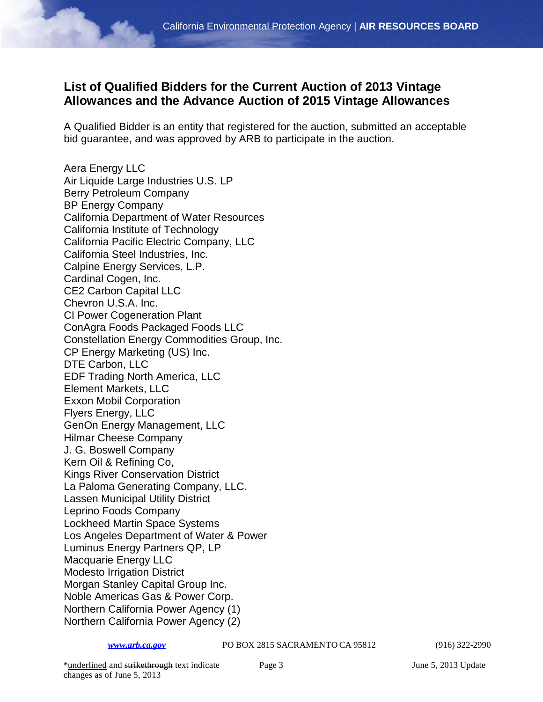#### **List of Qualified Bidders for the Current Auction of 2013 Vintage Allowances and the Advance Auction of 2015 Vintage Allowances**

A Qualified Bidder is an entity that registered for the auction, submitted an acceptable bid guarantee, and was approved by ARB to participate in the auction.

Aera Energy LLC Air Liquide Large Industries U.S. LP Berry Petroleum Company BP Energy Company California Department of Water Resources California Institute of Technology California Pacific Electric Company, LLC California Steel Industries, Inc. Calpine Energy Services, L.P. Cardinal Cogen, Inc. CE2 Carbon Capital LLC Chevron U.S.A. Inc. CI Power Cogeneration Plant ConAgra Foods Packaged Foods LLC Constellation Energy Commodities Group, Inc. CP Energy Marketing (US) Inc. DTE Carbon, LLC EDF Trading North America, LLC Element Markets, LLC Exxon Mobil Corporation Flyers Energy, LLC GenOn Energy Management, LLC Hilmar Cheese Company J. G. Boswell Company Kern Oil & Refining Co, Kings River Conservation District La Paloma Generating Company, LLC. Lassen Municipal Utility District Leprino Foods Company Lockheed Martin Space Systems Los Angeles Department of Water & Power Luminus Energy Partners QP, LP Macquarie Energy LLC Modesto Irrigation District Morgan Stanley Capital Group Inc. Noble Americas Gas & Power Corp. Northern California Power Agency (1) Northern California Power Agency (2)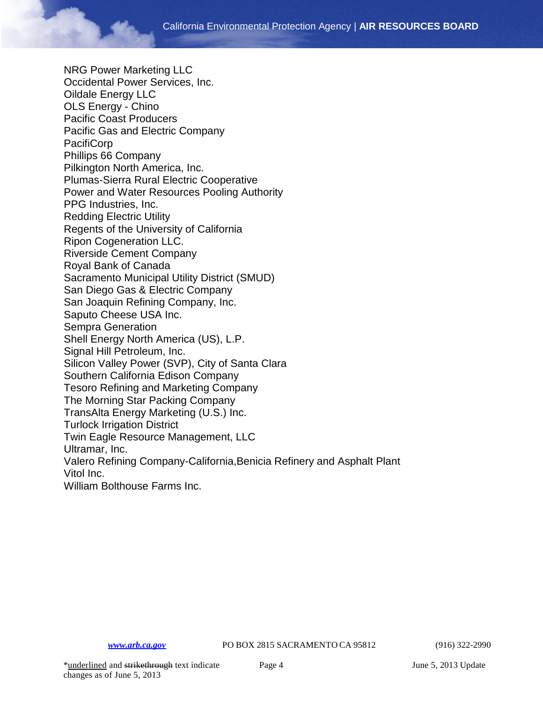NRG Power Marketing LLC Occidental Power Services, Inc. Oildale Energy LLC OLS Energy - Chino Pacific Coast Producers Pacific Gas and Electric Company PacifiCorp Phillips 66 Company Pilkington North America, Inc. Plumas-Sierra Rural Electric Cooperative Power and Water Resources Pooling Authority PPG Industries, Inc. Redding Electric Utility Regents of the University of California Ripon Cogeneration LLC. Riverside Cement Company Royal Bank of Canada Sacramento Municipal Utility District (SMUD) San Diego Gas & Electric Company San Joaquin Refining Company, Inc. Saputo Cheese USA Inc. Sempra Generation Shell Energy North America (US), L.P. Signal Hill Petroleum, Inc. Silicon Valley Power (SVP), City of Santa Clara Southern California Edison Company Tesoro Refining and Marketing Company The Morning Star Packing Company TransAlta Energy Marketing (U.S.) Inc. Turlock Irrigation District Twin Eagle Resource Management, LLC Ultramar, Inc. Valero Refining Company-California,Benicia Refinery and Asphalt Plant Vitol Inc. William Bolthouse Farms Inc.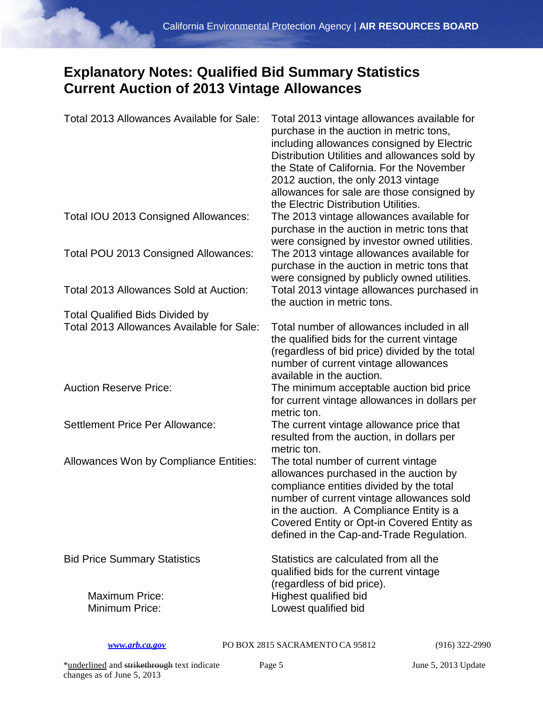# **Explanatory Notes: Qualified Bid Summary Statistics Current Auction of 2013 Vintage Allowances**

| Total 2013 Allowances Available for Sale: | Total 2013 vintage allowances available for<br>purchase in the auction in metric tons,<br>including allowances consigned by Electric<br>Distribution Utilities and allowances sold by<br>the State of California. For the November<br>2012 auction, the only 2013 vintage<br>allowances for sale are those consigned by<br>the Electric Distribution Utilities. |
|-------------------------------------------|-----------------------------------------------------------------------------------------------------------------------------------------------------------------------------------------------------------------------------------------------------------------------------------------------------------------------------------------------------------------|
| Total IOU 2013 Consigned Allowances:      | The 2013 vintage allowances available for<br>purchase in the auction in metric tons that<br>were consigned by investor owned utilities.                                                                                                                                                                                                                         |
| Total POU 2013 Consigned Allowances:      | The 2013 vintage allowances available for<br>purchase in the auction in metric tons that<br>were consigned by publicly owned utilities.                                                                                                                                                                                                                         |
| Total 2013 Allowances Sold at Auction:    | Total 2013 vintage allowances purchased in<br>the auction in metric tons.                                                                                                                                                                                                                                                                                       |
| <b>Total Qualified Bids Divided by</b>    |                                                                                                                                                                                                                                                                                                                                                                 |
| Total 2013 Allowances Available for Sale: | Total number of allowances included in all<br>the qualified bids for the current vintage<br>(regardless of bid price) divided by the total<br>number of current vintage allowances<br>available in the auction.                                                                                                                                                 |
| <b>Auction Reserve Price:</b>             | The minimum acceptable auction bid price<br>for current vintage allowances in dollars per<br>metric ton.                                                                                                                                                                                                                                                        |
| Settlement Price Per Allowance:           | The current vintage allowance price that<br>resulted from the auction, in dollars per<br>metric ton.                                                                                                                                                                                                                                                            |
| Allowances Won by Compliance Entities:    | The total number of current vintage<br>allowances purchased in the auction by<br>compliance entities divided by the total<br>number of current vintage allowances sold<br>in the auction. A Compliance Entity is a<br>Covered Entity or Opt-in Covered Entity as<br>defined in the Cap-and-Trade Regulation.                                                    |
| <b>Bid Price Summary Statistics</b>       | Statistics are calculated from all the<br>qualified bids for the current vintage<br>(regardless of bid price).                                                                                                                                                                                                                                                  |
| <b>Maximum Price:</b><br>Minimum Price:   | Highest qualified bid<br>Lowest qualified bid                                                                                                                                                                                                                                                                                                                   |

*[www.arb.ca.gov](http://www.arb.ca.gov/)* PO BOX 2815 SACRAMENTO CA 95812 (916) 322-2990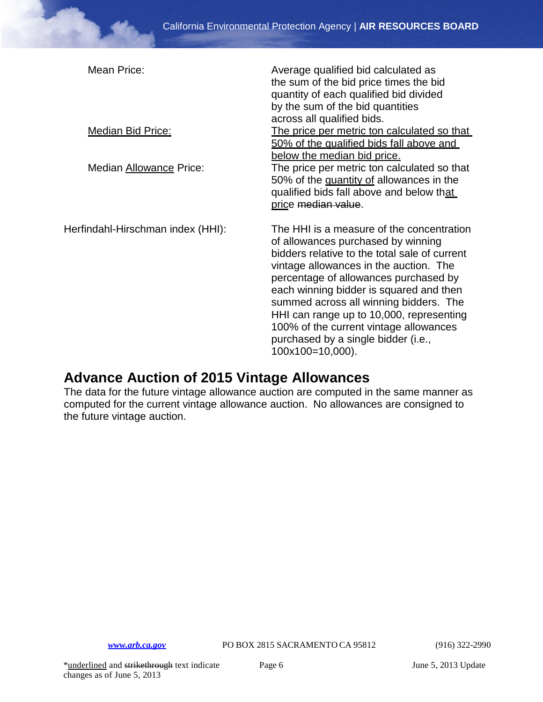| Mean Price:<br><b>Median Bid Price:</b><br>Median Allowance Price: | Average qualified bid calculated as<br>the sum of the bid price times the bid<br>quantity of each qualified bid divided<br>by the sum of the bid quantities<br>across all qualified bids.<br>The price per metric ton calculated so that<br>50% of the qualified bids fall above and<br>below the median bid price.<br>The price per metric ton calculated so that<br>50% of the quantity of allowances in the<br>qualified bids fall above and below that<br>price median value. |
|--------------------------------------------------------------------|-----------------------------------------------------------------------------------------------------------------------------------------------------------------------------------------------------------------------------------------------------------------------------------------------------------------------------------------------------------------------------------------------------------------------------------------------------------------------------------|
| Herfindahl-Hirschman index (HHI):                                  | The HHI is a measure of the concentration<br>of allowances purchased by winning<br>bidders relative to the total sale of current<br>vintage allowances in the auction. The<br>percentage of allowances purchased by<br>each winning bidder is squared and then<br>summed across all winning bidders. The<br>HHI can range up to 10,000, representing<br>100% of the current vintage allowances<br>purchased by a single bidder (i.e.,<br>100x100=10,000).                         |

## **Advance Auction of 2015 Vintage Allowances**

The data for the future vintage allowance auction are computed in the same manner as computed for the current vintage allowance auction. No allowances are consigned to the future vintage auction.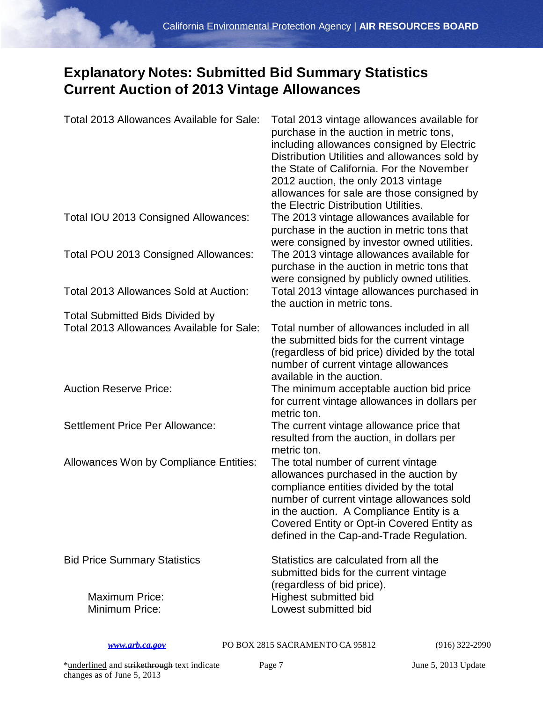# **Explanatory Notes: Submitted Bid Summary Statistics Current Auction of 2013 Vintage Allowances**

| Total 2013 Allowances Available for Sale: | Total 2013 vintage allowances available for<br>purchase in the auction in metric tons,<br>including allowances consigned by Electric<br>Distribution Utilities and allowances sold by<br>the State of California. For the November<br>2012 auction, the only 2013 vintage<br>allowances for sale are those consigned by<br>the Electric Distribution Utilities. |
|-------------------------------------------|-----------------------------------------------------------------------------------------------------------------------------------------------------------------------------------------------------------------------------------------------------------------------------------------------------------------------------------------------------------------|
| Total IOU 2013 Consigned Allowances:      | The 2013 vintage allowances available for<br>purchase in the auction in metric tons that<br>were consigned by investor owned utilities.                                                                                                                                                                                                                         |
| Total POU 2013 Consigned Allowances:      | The 2013 vintage allowances available for<br>purchase in the auction in metric tons that<br>were consigned by publicly owned utilities.                                                                                                                                                                                                                         |
| Total 2013 Allowances Sold at Auction:    | Total 2013 vintage allowances purchased in<br>the auction in metric tons.                                                                                                                                                                                                                                                                                       |
| <b>Total Submitted Bids Divided by</b>    |                                                                                                                                                                                                                                                                                                                                                                 |
| Total 2013 Allowances Available for Sale: | Total number of allowances included in all<br>the submitted bids for the current vintage<br>(regardless of bid price) divided by the total<br>number of current vintage allowances<br>available in the auction.                                                                                                                                                 |
| <b>Auction Reserve Price:</b>             | The minimum acceptable auction bid price<br>for current vintage allowances in dollars per<br>metric ton.                                                                                                                                                                                                                                                        |
| <b>Settlement Price Per Allowance:</b>    | The current vintage allowance price that<br>resulted from the auction, in dollars per<br>metric ton.                                                                                                                                                                                                                                                            |
| Allowances Won by Compliance Entities:    | The total number of current vintage<br>allowances purchased in the auction by<br>compliance entities divided by the total<br>number of current vintage allowances sold<br>in the auction. A Compliance Entity is a<br>Covered Entity or Opt-in Covered Entity as<br>defined in the Cap-and-Trade Regulation.                                                    |
| <b>Bid Price Summary Statistics</b>       | Statistics are calculated from all the<br>submitted bids for the current vintage<br>(regardless of bid price).                                                                                                                                                                                                                                                  |
| <b>Maximum Price:</b><br>Minimum Price:   | Highest submitted bid<br>Lowest submitted bid                                                                                                                                                                                                                                                                                                                   |

*[www.arb.ca.gov](http://www.arb.ca.gov/)* PO BOX 2815 SACRAMENTO CA 95812 (916) 322-2990